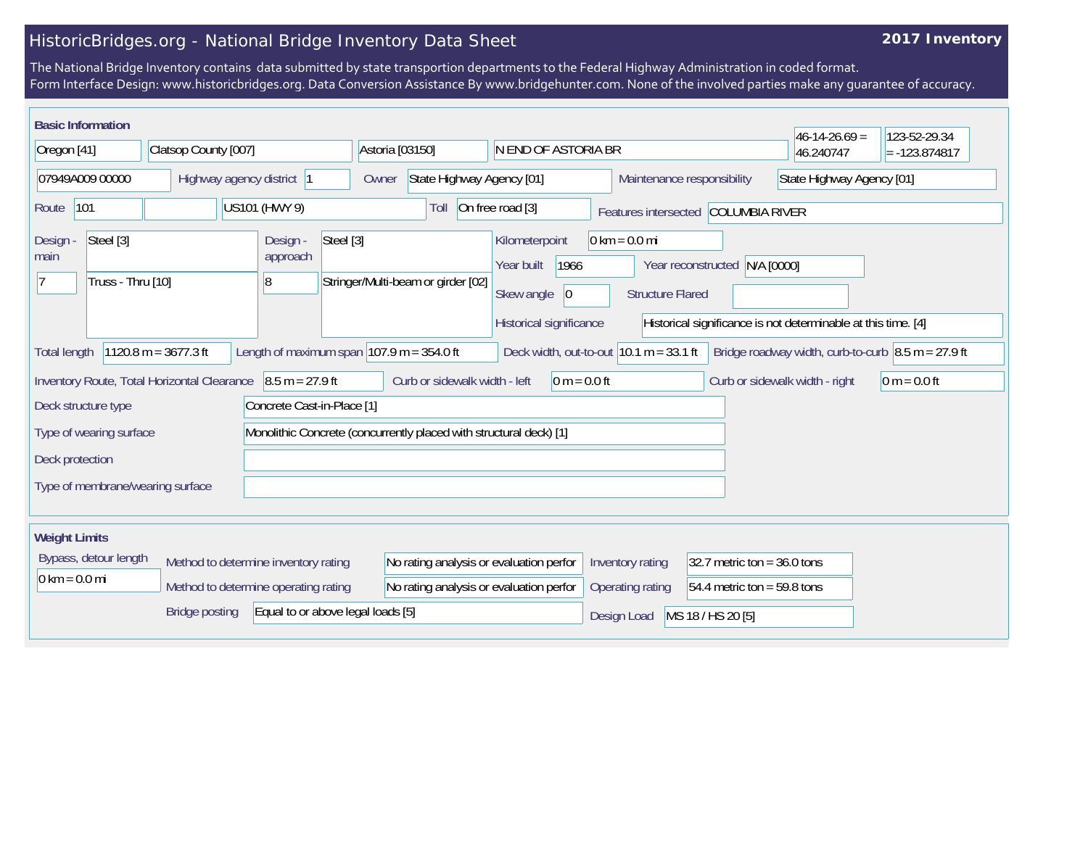## **2017 Inventory**

| <b>Basic Information</b>                    |                                      |                                   |                                                                    |                                           |                                     |                               | $46-14-26.69 =$                                                            | 123-52-29.34    |
|---------------------------------------------|--------------------------------------|-----------------------------------|--------------------------------------------------------------------|-------------------------------------------|-------------------------------------|-------------------------------|----------------------------------------------------------------------------|-----------------|
| Oregon [41]                                 | Clatsop County [007]                 |                                   | Astoria [03150]                                                    | N END OF ASTORIA BR                       |                                     |                               | 46.240747                                                                  | $= -123.874817$ |
| 07949A009 00000                             | Highway agency district<br>Owner     |                                   | State Highway Agency [01]                                          | Maintenance responsibility                |                                     |                               | State Highway Agency [01]                                                  |                 |
| 101<br>Route                                |                                      | US101 (HWY 9)                     | Toll                                                               | On free road [3]                          | Features intersected COLUMBIA RIVER |                               |                                                                            |                 |
| Steel [3]<br>Design -<br>main               |                                      | Design -<br>Steel [3]<br>approach |                                                                    | Kilometerpoint<br>1966<br>Year built      | $0 \text{ km} = 0.0 \text{ mi}$     | Year reconstructed N/A [0000] |                                                                            |                 |
| Truss - Thru [10]                           |                                      | 8                                 | Stringer/Multi-beam or girder [02]                                 | Skew angle<br>$ 0\rangle$                 | <b>Structure Flared</b>             |                               |                                                                            |                 |
|                                             |                                      |                                   |                                                                    | Historical significance                   |                                     |                               | Historical significance is not determinable at this time. [4]              |                 |
| <b>Total length</b>                         | 1120.8 m = $3677.3$ ft               |                                   | Length of maximum span $107.9$ m = 354.0 ft                        | Deck width, out-to-out $10.1 m = 33.1 ft$ |                                     |                               | Bridge roadway width, curb-to-curb $\vert 8.5 \text{ m} = 27.9 \text{ ft}$ |                 |
| Inventory Route, Total Horizontal Clearance |                                      | $8.5 m = 27.9 ft$                 | Curb or sidewalk width - left                                      | $0 m = 0.0 ft$                            |                                     |                               | Curb or sidewalk width - right                                             | $0 m = 0.0 ft$  |
| Deck structure type                         |                                      | Concrete Cast-in-Place [1]        |                                                                    |                                           |                                     |                               |                                                                            |                 |
| Type of wearing surface                     |                                      |                                   | Monolithic Concrete (concurrently placed with structural deck) [1] |                                           |                                     |                               |                                                                            |                 |
| Deck protection                             |                                      |                                   |                                                                    |                                           |                                     |                               |                                                                            |                 |
| Type of membrane/wearing surface            |                                      |                                   |                                                                    |                                           |                                     |                               |                                                                            |                 |
| <b>Weight Limits</b>                        |                                      |                                   |                                                                    |                                           |                                     |                               |                                                                            |                 |
| Bypass, detour length                       | Method to determine inventory rating |                                   | No rating analysis or evaluation perfor                            |                                           | Inventory rating                    | $32.7$ metric ton = 36.0 tons |                                                                            |                 |
| $0 \text{ km} = 0.0 \text{ mi}$             | Method to determine operating rating |                                   | No rating analysis or evaluation perfor                            |                                           | Operating rating                    | 54.4 metric ton = $59.8$ tons |                                                                            |                 |
|                                             | <b>Bridge posting</b>                | Equal to or above legal loads [5] |                                                                    |                                           | Design Load                         | MS 18 / HS 20 [5]             |                                                                            |                 |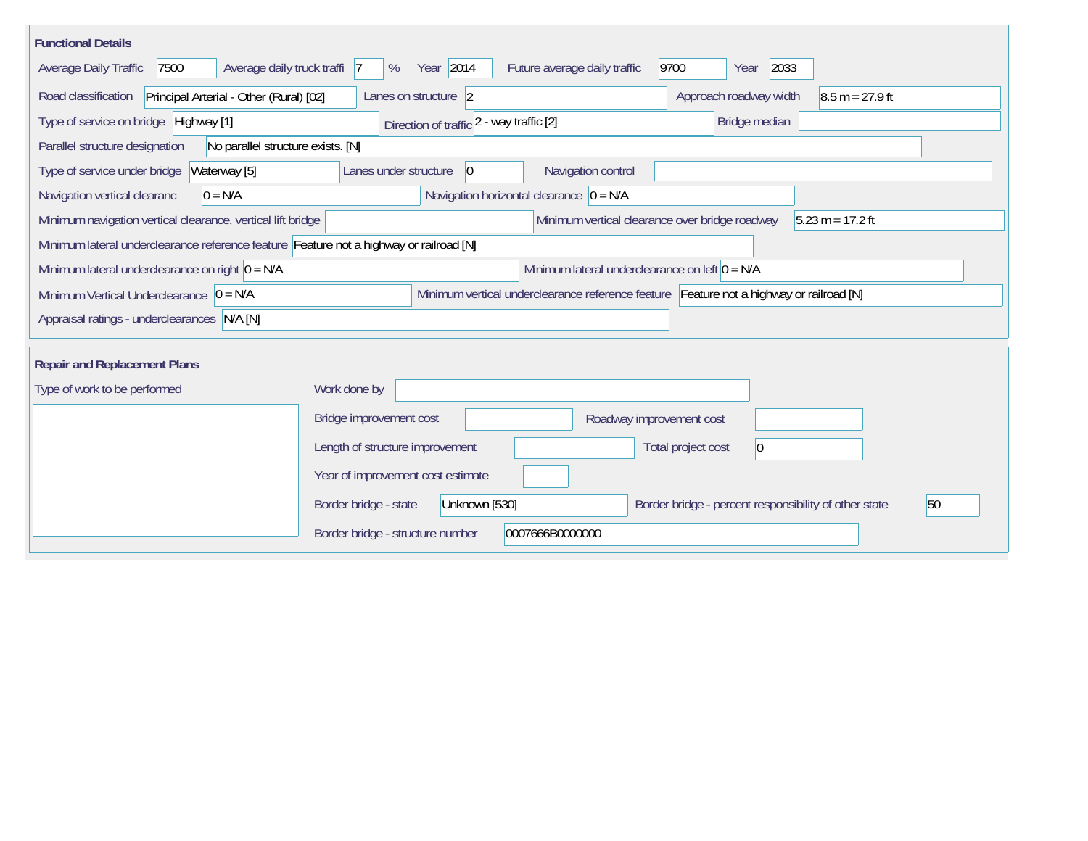| <b>Functional Details</b>                                                              |                                   |                                            |                                                  |                                                                                         |                                      |
|----------------------------------------------------------------------------------------|-----------------------------------|--------------------------------------------|--------------------------------------------------|-----------------------------------------------------------------------------------------|--------------------------------------|
| 7500<br>Average daily truck traffi 7<br>Average Daily Traffic                          | Year 2014<br>%                    | Future average daily traffic               | 9700                                             | 2033<br>Year                                                                            |                                      |
| Road classification<br>Principal Arterial - Other (Rural) [02]                         | Lanes on structure 2              |                                            |                                                  | Approach roadway width                                                                  | $8.5 m = 27.9 ft$                    |
| Type of service on bridge Highway [1]                                                  |                                   | Direction of traffic 2 - way traffic [2]   |                                                  | Bridge median                                                                           |                                      |
| No parallel structure exists. [N]<br>Parallel structure designation                    |                                   |                                            |                                                  |                                                                                         |                                      |
| Waterway [5]<br>Type of service under bridge                                           | Lanes under structure             | 0                                          | Navigation control                               |                                                                                         |                                      |
| Navigation vertical clearanc<br>$0 = N/A$                                              |                                   | Navigation horizontal clearance $ 0 = N/A$ |                                                  |                                                                                         |                                      |
| Minimum navigation vertical clearance, vertical lift bridge                            |                                   |                                            |                                                  | Minimum vertical clearance over bridge roadway                                          | $ 5.23 \text{ m} = 17.2 \text{ ft} $ |
| Minimum lateral underclearance reference feature Feature not a highway or railroad [N] |                                   |                                            |                                                  |                                                                                         |                                      |
| Minimum lateral underclearance on right $ 0 = N/A$                                     |                                   |                                            | Minimum lateral underclearance on left $0 = N/A$ |                                                                                         |                                      |
| Minimum Vertical Underclearance $ 0 = N/A $                                            |                                   |                                            |                                                  | Minimum vertical underclearance reference feature Feature not a highway or railroad [N] |                                      |
| Appraisal ratings - underclearances N/A [N]                                            |                                   |                                            |                                                  |                                                                                         |                                      |
|                                                                                        |                                   |                                            |                                                  |                                                                                         |                                      |
| <b>Repair and Replacement Plans</b>                                                    |                                   |                                            |                                                  |                                                                                         |                                      |
| Type of work to be performed                                                           | Work done by                      |                                            |                                                  |                                                                                         |                                      |
|                                                                                        | Bridge improvement cost           |                                            | Roadway improvement cost                         |                                                                                         |                                      |
|                                                                                        | Length of structure improvement   |                                            |                                                  | Total project cost<br>$\overline{0}$                                                    |                                      |
|                                                                                        | Year of improvement cost estimate |                                            |                                                  |                                                                                         |                                      |
|                                                                                        | Border bridge - state             | Unknown [530]                              |                                                  | Border bridge - percent responsibility of other state                                   | 50                                   |
|                                                                                        | Border bridge - structure number  | 0007666B0000000                            |                                                  |                                                                                         |                                      |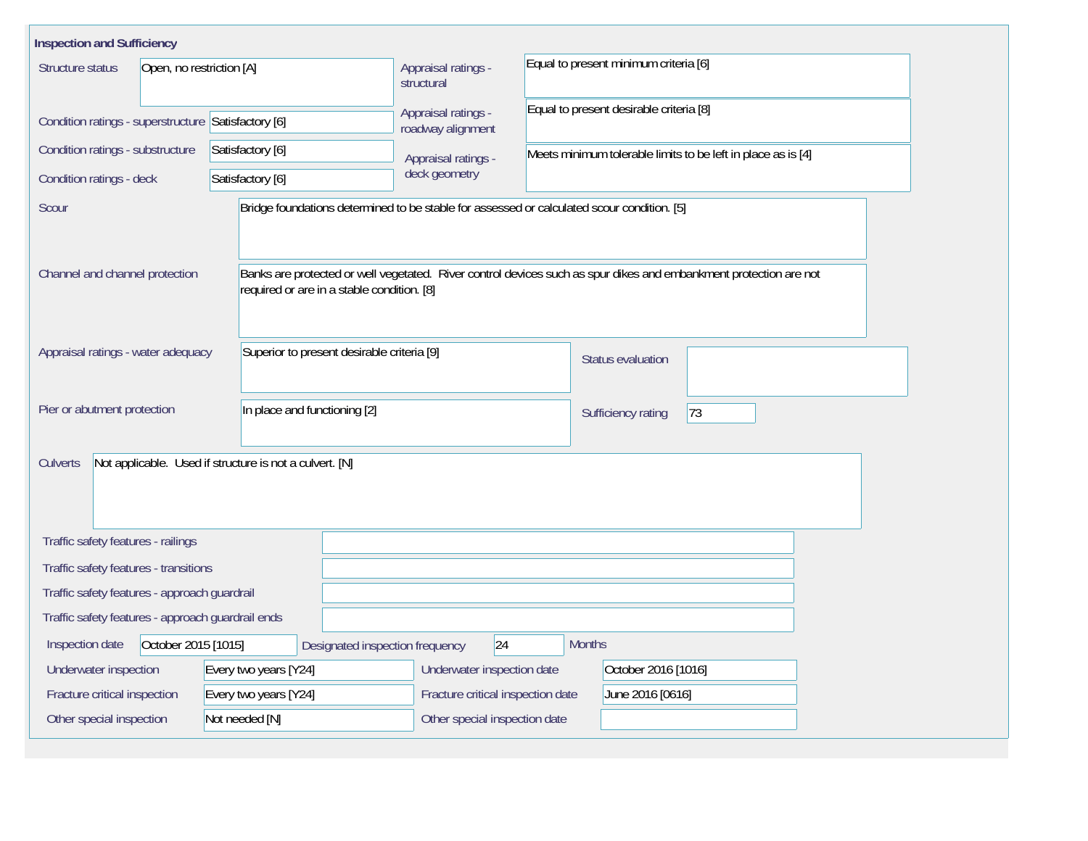| <b>Inspection and Sufficiency</b>                   |                                                                                            |                                          |                                         |                                                                                                                   |  |  |  |  |
|-----------------------------------------------------|--------------------------------------------------------------------------------------------|------------------------------------------|-----------------------------------------|-------------------------------------------------------------------------------------------------------------------|--|--|--|--|
| Open, no restriction [A]<br>Structure status        |                                                                                            | Appraisal ratings -<br>structural        | Equal to present minimum criteria [6]   |                                                                                                                   |  |  |  |  |
| Condition ratings - superstructure Satisfactory [6] |                                                                                            | Appraisal ratings -<br>roadway alignment | Equal to present desirable criteria [8] |                                                                                                                   |  |  |  |  |
| Condition ratings - substructure                    | Satisfactory [6]                                                                           | Appraisal ratings -                      |                                         | Meets minimum tolerable limits to be left in place as is [4]                                                      |  |  |  |  |
| Condition ratings - deck                            | Satisfactory [6]                                                                           | deck geometry                            |                                         |                                                                                                                   |  |  |  |  |
| Scour                                               | Bridge foundations determined to be stable for assessed or calculated scour condition. [5] |                                          |                                         |                                                                                                                   |  |  |  |  |
| Channel and channel protection                      | required or are in a stable condition. [8]                                                 |                                          |                                         | Banks are protected or well vegetated. River control devices such as spur dikes and embankment protection are not |  |  |  |  |
| Appraisal ratings - water adequacy                  | Superior to present desirable criteria [9]                                                 |                                          |                                         | <b>Status evaluation</b>                                                                                          |  |  |  |  |
| Pier or abutment protection                         | In place and functioning [2]                                                               |                                          |                                         | 73<br>Sufficiency rating                                                                                          |  |  |  |  |
| <b>Culverts</b>                                     | Not applicable. Used if structure is not a culvert. [N]                                    |                                          |                                         |                                                                                                                   |  |  |  |  |
| Traffic safety features - railings                  |                                                                                            |                                          |                                         |                                                                                                                   |  |  |  |  |
| Traffic safety features - transitions               |                                                                                            |                                          |                                         |                                                                                                                   |  |  |  |  |
| Traffic safety features - approach guardrail        |                                                                                            |                                          |                                         |                                                                                                                   |  |  |  |  |
| Traffic safety features - approach guardrail ends   |                                                                                            |                                          |                                         |                                                                                                                   |  |  |  |  |
| October 2015 [1015]<br>Inspection date              | Designated inspection frequency                                                            | 24                                       | <b>Months</b>                           |                                                                                                                   |  |  |  |  |
| Underwater inspection                               | Every two years [Y24]                                                                      | Underwater inspection date               |                                         | October 2016 [1016]                                                                                               |  |  |  |  |
| Fracture critical inspection                        | Every two years [Y24]                                                                      | Fracture critical inspection date        | June 2016 [0616]                        |                                                                                                                   |  |  |  |  |
| Other special inspection                            | Not needed [N]                                                                             | Other special inspection date            |                                         |                                                                                                                   |  |  |  |  |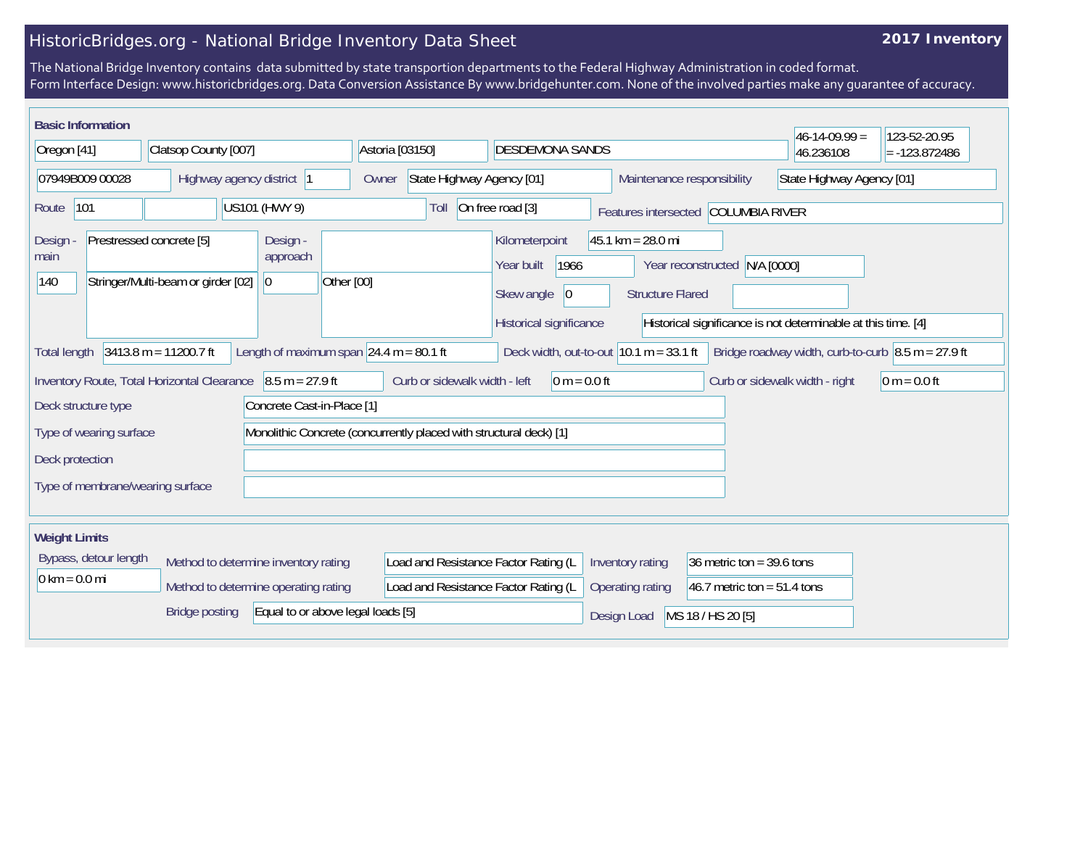## **2017 Inventory**

|                                 | <b>Basic Information</b> |                                                                |                                                   |                                                                    |                                                           |                                                                |                               | $46-14-09.99 =$                                                            | 123-52-20.95    |
|---------------------------------|--------------------------|----------------------------------------------------------------|---------------------------------------------------|--------------------------------------------------------------------|-----------------------------------------------------------|----------------------------------------------------------------|-------------------------------|----------------------------------------------------------------------------|-----------------|
| Oregon [41]                     |                          | Clatsop County [007]                                           |                                                   | Astoria [03150]                                                    | <b>DESDEMONA SANDS</b>                                    |                                                                |                               | 46.236108                                                                  | $= -123.872486$ |
|                                 | 07949B009 00028          |                                                                | Highway agency district 1                         | State Highway Agency [01]<br>Owner                                 |                                                           | Maintenance responsibility                                     |                               | State Highway Agency [01]                                                  |                 |
| Route                           | 101                      |                                                                | US101 (HWY 9)                                     | Toll                                                               | On free road [3]                                          | Features intersected COLUMBIA RIVER                            |                               |                                                                            |                 |
| Design<br>main<br>140           |                          | Prestressed concrete [5]<br>Stringer/Multi-beam or girder [02] | Design -<br>approach<br>$ 0\rangle$<br>Other [00] |                                                                    | Kilometerpoint<br>1966<br>Year built<br> 0 <br>Skew angle | $45.1 \text{ km} = 28.0 \text{ mi}$<br><b>Structure Flared</b> | Year reconstructed N/A [0000] |                                                                            |                 |
|                                 |                          |                                                                |                                                   |                                                                    | Historical significance                                   |                                                                |                               | Historical significance is not determinable at this time. [4]              |                 |
| <b>Total length</b>             |                          | $3413.8 m = 11200.7 ft$                                        | Length of maximum span $\sqrt{24.4}$ m = 80.1 ft  |                                                                    | Deck width, out-to-out $10.1 m = 33.1 ft$                 |                                                                |                               | Bridge roadway width, curb-to-curb $\vert 8.5 \text{ m} = 27.9 \text{ ft}$ |                 |
|                                 |                          | Inventory Route, Total Horizontal Clearance                    | $8.5 m = 27.9 ft$                                 | Curb or sidewalk width - left                                      | $ 0 m = 0.0 ft$                                           |                                                                |                               | Curb or sidewalk width - right                                             | $0 m = 0.0 ft$  |
|                                 | Deck structure type      |                                                                | Concrete Cast-in-Place [1]                        |                                                                    |                                                           |                                                                |                               |                                                                            |                 |
|                                 | Type of wearing surface  |                                                                |                                                   | Monolithic Concrete (concurrently placed with structural deck) [1] |                                                           |                                                                |                               |                                                                            |                 |
| Deck protection                 |                          |                                                                |                                                   |                                                                    |                                                           |                                                                |                               |                                                                            |                 |
|                                 |                          | Type of membrane/wearing surface                               |                                                   |                                                                    |                                                           |                                                                |                               |                                                                            |                 |
|                                 |                          |                                                                |                                                   |                                                                    |                                                           |                                                                |                               |                                                                            |                 |
| <b>Weight Limits</b>            |                          |                                                                |                                                   |                                                                    |                                                           |                                                                |                               |                                                                            |                 |
|                                 | Bypass, detour length    |                                                                | Method to determine inventory rating              | Load and Resistance Factor Rating (L                               |                                                           | Inventory rating                                               | 36 metric ton = $39.6$ tons   |                                                                            |                 |
| $0 \text{ km} = 0.0 \text{ mi}$ |                          |                                                                | Method to determine operating rating              | Load and Resistance Factor Rating (L                               |                                                           | Operating rating                                               | 46.7 metric ton = $51.4$ tons |                                                                            |                 |
|                                 |                          | <b>Bridge posting</b>                                          | Equal to or above legal loads [5]                 |                                                                    |                                                           | Design Load                                                    | MS 18 / HS 20 [5]             |                                                                            |                 |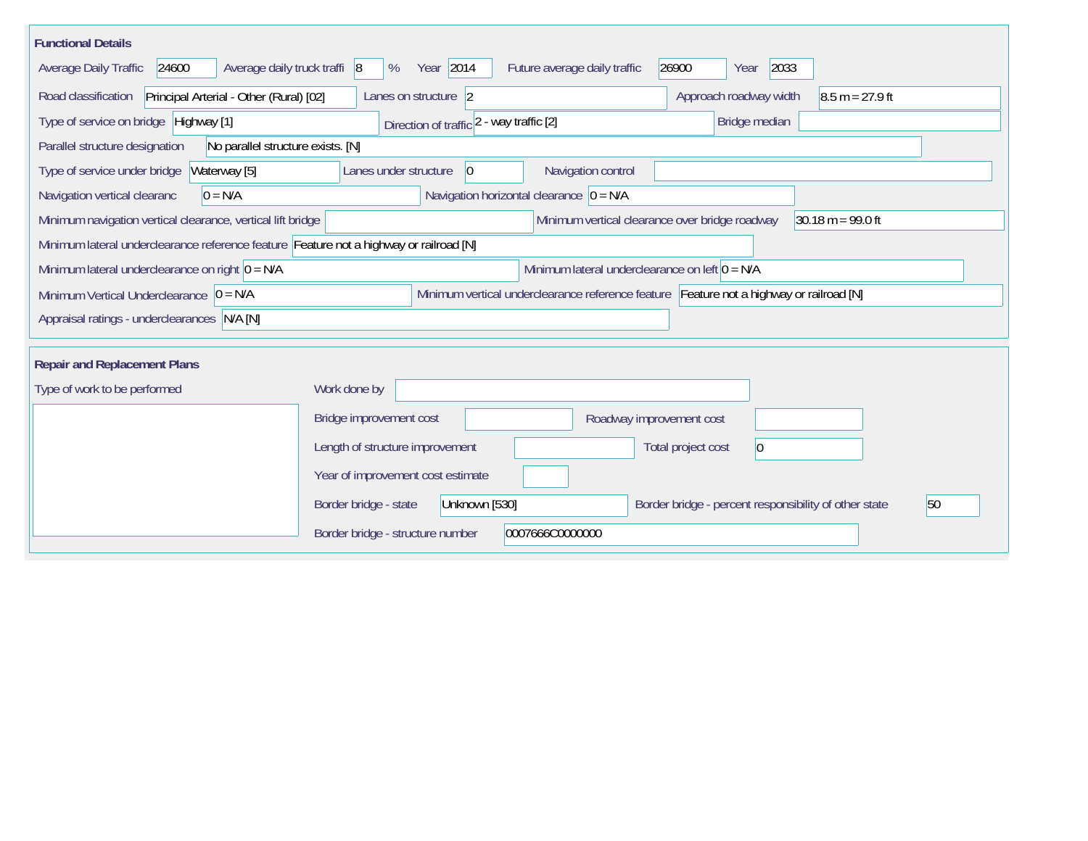| <b>Functional Details</b>                                                              |                                   |                                          |                                                                                         |       |                                                       |                                     |
|----------------------------------------------------------------------------------------|-----------------------------------|------------------------------------------|-----------------------------------------------------------------------------------------|-------|-------------------------------------------------------|-------------------------------------|
| 24600<br>Average daily truck traffi 8<br>Average Daily Traffic                         | %                                 | Year 2014                                | Future average daily traffic                                                            | 26900 | 2033<br>Year                                          |                                     |
| Road classification<br>Principal Arterial - Other (Rural) [02]                         | Lanes on structure 2              |                                          |                                                                                         |       | Approach roadway width                                | $8.5 m = 27.9 ft$                   |
| Type of service on bridge Highway [1]                                                  |                                   | Direction of traffic 2 - way traffic [2] |                                                                                         |       | Bridge median                                         |                                     |
| No parallel structure exists. [N]<br>Parallel structure designation                    |                                   |                                          |                                                                                         |       |                                                       |                                     |
| Waterway [5]<br>Type of service under bridge                                           | Lanes under structure             | 0                                        | Navigation control                                                                      |       |                                                       |                                     |
| Navigation vertical clearanc<br>$0 = N/A$                                              |                                   |                                          | Navigation horizontal clearance $ 0 = N/A$                                              |       |                                                       |                                     |
| Minimum navigation vertical clearance, vertical lift bridge                            |                                   |                                          | Minimum vertical clearance over bridge roadway                                          |       |                                                       | $30.18 \text{ m} = 99.0 \text{ ft}$ |
| Minimum lateral underclearance reference feature Feature not a highway or railroad [N] |                                   |                                          |                                                                                         |       |                                                       |                                     |
| Minimum lateral underclearance on right $ 0 = N/A$                                     |                                   |                                          | Minimum lateral underclearance on left $0 = N/A$                                        |       |                                                       |                                     |
| Minimum Vertical Underclearance $ 0 = N/A $                                            |                                   |                                          | Minimum vertical underclearance reference feature Feature not a highway or railroad [N] |       |                                                       |                                     |
| Appraisal ratings - underclearances N/A [N]                                            |                                   |                                          |                                                                                         |       |                                                       |                                     |
| <b>Repair and Replacement Plans</b>                                                    |                                   |                                          |                                                                                         |       |                                                       |                                     |
| Type of work to be performed                                                           | Work done by                      |                                          |                                                                                         |       |                                                       |                                     |
|                                                                                        |                                   |                                          |                                                                                         |       |                                                       |                                     |
|                                                                                        | Bridge improvement cost           |                                          | Roadway improvement cost                                                                |       |                                                       |                                     |
|                                                                                        | Length of structure improvement   |                                          |                                                                                         |       | Total project cost<br>$\overline{0}$                  |                                     |
|                                                                                        | Year of improvement cost estimate |                                          |                                                                                         |       |                                                       |                                     |
|                                                                                        | Border bridge - state             | Unknown [530]                            |                                                                                         |       | Border bridge - percent responsibility of other state | 50                                  |
|                                                                                        | Border bridge - structure number  |                                          | 0007666C0000000                                                                         |       |                                                       |                                     |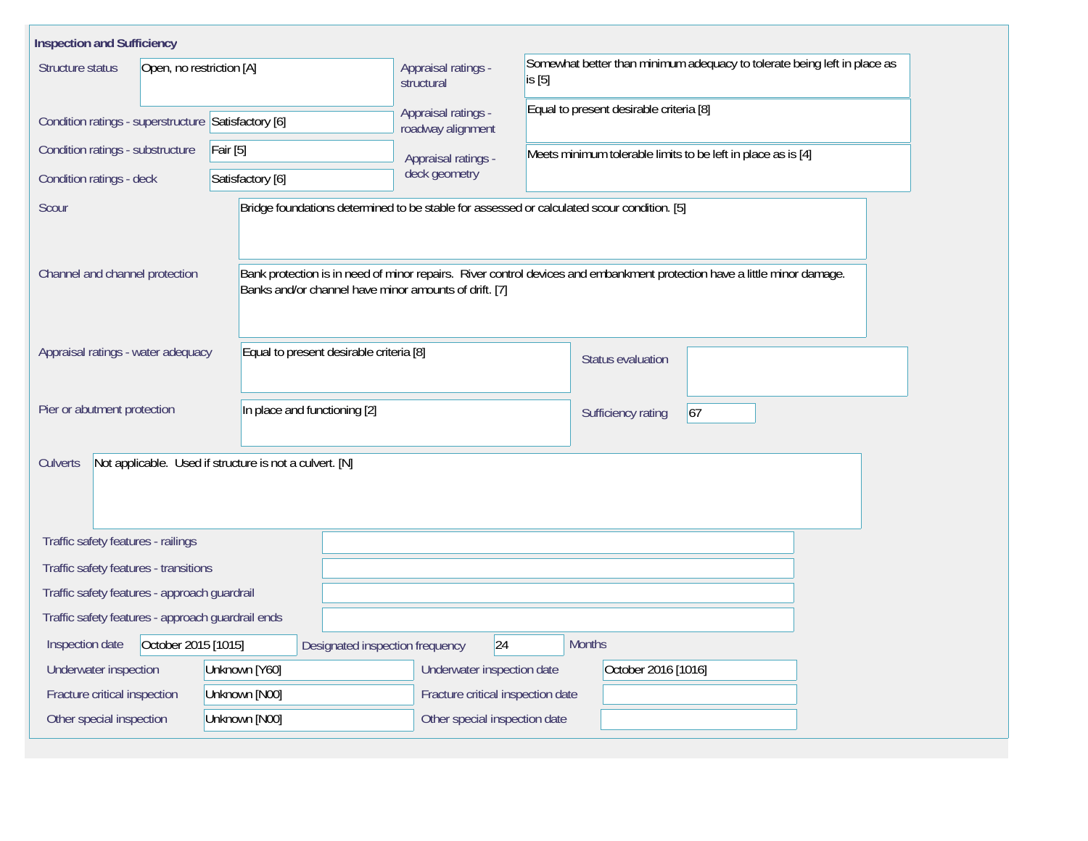| <b>Inspection and Sufficiency</b>                   |                                                                                            |                                          |                                                                                    |                                                                                                                          |  |  |  |  |  |
|-----------------------------------------------------|--------------------------------------------------------------------------------------------|------------------------------------------|------------------------------------------------------------------------------------|--------------------------------------------------------------------------------------------------------------------------|--|--|--|--|--|
| Structure status<br>Open, no restriction [A]        |                                                                                            | Appraisal ratings -<br>structural        | Somewhat better than minimum adequacy to tolerate being left in place as<br>is [5] |                                                                                                                          |  |  |  |  |  |
| Condition ratings - superstructure Satisfactory [6] |                                                                                            | Appraisal ratings -<br>roadway alignment |                                                                                    | Equal to present desirable criteria [8]                                                                                  |  |  |  |  |  |
| Condition ratings - substructure                    | $\vert$ Fair [5]                                                                           | Appraisal ratings -                      | Meets minimum tolerable limits to be left in place as is [4]                       |                                                                                                                          |  |  |  |  |  |
| Condition ratings - deck                            | Satisfactory [6]                                                                           | deck geometry                            |                                                                                    |                                                                                                                          |  |  |  |  |  |
| Scour                                               | Bridge foundations determined to be stable for assessed or calculated scour condition. [5] |                                          |                                                                                    |                                                                                                                          |  |  |  |  |  |
| Channel and channel protection                      | Banks and/or channel have minor amounts of drift. [7]                                      |                                          |                                                                                    | Bank protection is in need of minor repairs. River control devices and embankment protection have a little minor damage. |  |  |  |  |  |
| Appraisal ratings - water adequacy                  | Equal to present desirable criteria [8]                                                    |                                          |                                                                                    | <b>Status evaluation</b>                                                                                                 |  |  |  |  |  |
| Pier or abutment protection                         | In place and functioning [2]                                                               |                                          | Sufficiency rating                                                                 |                                                                                                                          |  |  |  |  |  |
| <b>Culverts</b>                                     | Not applicable. Used if structure is not a culvert. [N]                                    |                                          |                                                                                    |                                                                                                                          |  |  |  |  |  |
| Traffic safety features - railings                  |                                                                                            |                                          |                                                                                    |                                                                                                                          |  |  |  |  |  |
| Traffic safety features - transitions               |                                                                                            |                                          |                                                                                    |                                                                                                                          |  |  |  |  |  |
| Traffic safety features - approach guardrail        |                                                                                            |                                          |                                                                                    |                                                                                                                          |  |  |  |  |  |
| Traffic safety features - approach guardrail ends   |                                                                                            |                                          |                                                                                    |                                                                                                                          |  |  |  |  |  |
| October 2015 [1015]<br>Inspection date              | Designated inspection frequency                                                            | 24                                       | <b>Months</b>                                                                      |                                                                                                                          |  |  |  |  |  |
| Underwater inspection                               | Unknown [Y60]                                                                              | Underwater inspection date               |                                                                                    | October 2016 [1016]                                                                                                      |  |  |  |  |  |
| Fracture critical inspection                        | Unknown [N00]                                                                              | Fracture critical inspection date        |                                                                                    |                                                                                                                          |  |  |  |  |  |
| Other special inspection<br>Unknown [N00]           |                                                                                            | Other special inspection date            |                                                                                    |                                                                                                                          |  |  |  |  |  |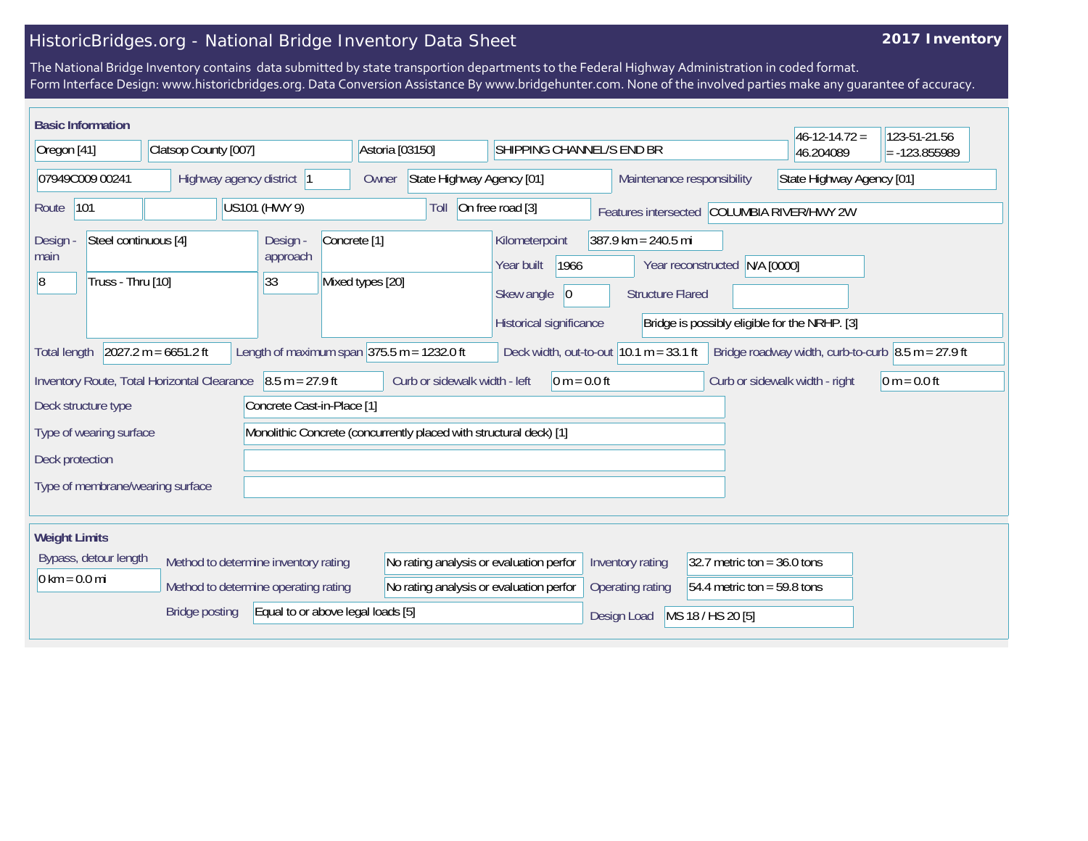## **2017 Inventory**

| <b>Basic Information</b>                    |                                      |                            |                                                                    |                               |                                         |                                           |                               | $46 - 12 - 14.72 =$                                                    | 123-51-21.56    |
|---------------------------------------------|--------------------------------------|----------------------------|--------------------------------------------------------------------|-------------------------------|-----------------------------------------|-------------------------------------------|-------------------------------|------------------------------------------------------------------------|-----------------|
| Oregon [41]                                 | Clatsop County [007]                 |                            | Astoria [03150]                                                    |                               | SHIPPING CHANNEL/S END BR               |                                           |                               | 46.204089                                                              | $= -123.855989$ |
| 07949C009 00241                             | Highway agency district              |                            | Owner                                                              | State Highway Agency [01]     |                                         |                                           | Maintenance responsibility    | State Highway Agency [01]                                              |                 |
| 101<br>Route                                |                                      | US101 (HWY 9)              |                                                                    | Toll                          | On free road [3]                        |                                           |                               | Features intersected COLUMBIA RIVER/HWY 2W                             |                 |
| Steel continuous [4]<br>Design<br>main      |                                      | Design -<br>approach       | Concrete <sup>[1]</sup>                                            |                               | Kilometerpoint<br>1966<br>Year built    | 387.9 km = 240.5 mi                       | Year reconstructed N/A [0000] |                                                                        |                 |
| Truss - Thru [10]<br>8                      |                                      | 33                         | Mixed types [20]                                                   |                               | Skew angle<br> 0                        | <b>Structure Flared</b>                   |                               |                                                                        |                 |
|                                             |                                      |                            |                                                                    |                               | Historical significance                 |                                           |                               | Bridge is possibly eligible for the NRHP. [3]                          |                 |
| <b>Total length</b>                         | $2027.2 m = 6651.2 ft$               |                            | Length of maximum span $ 375.5 \text{ m} = 1232.0 \text{ ft}$      |                               |                                         | Deck width, out-to-out $10.1 m = 33.1 ft$ |                               | Bridge roadway width, curb-to-curb $ 8.5 \text{ m} = 27.9 \text{ ft} $ |                 |
| Inventory Route, Total Horizontal Clearance |                                      | $8.5 m = 27.9 ft$          |                                                                    | Curb or sidewalk width - left | $ 0 m = 0.0 ft$                         |                                           |                               | Curb or sidewalk width - right                                         | $0 m = 0.0 ft$  |
| Deck structure type                         |                                      | Concrete Cast-in-Place [1] |                                                                    |                               |                                         |                                           |                               |                                                                        |                 |
| Type of wearing surface                     |                                      |                            | Monolithic Concrete (concurrently placed with structural deck) [1] |                               |                                         |                                           |                               |                                                                        |                 |
| Deck protection                             |                                      |                            |                                                                    |                               |                                         |                                           |                               |                                                                        |                 |
| Type of membrane/wearing surface            |                                      |                            |                                                                    |                               |                                         |                                           |                               |                                                                        |                 |
|                                             |                                      |                            |                                                                    |                               |                                         |                                           |                               |                                                                        |                 |
| <b>Weight Limits</b>                        |                                      |                            |                                                                    |                               |                                         |                                           |                               |                                                                        |                 |
| Bypass, detour length                       | Method to determine inventory rating |                            |                                                                    |                               | No rating analysis or evaluation perfor | Inventory rating                          | $32.7$ metric ton = 36.0 tons |                                                                        |                 |
| $0 \text{ km} = 0.0 \text{ mi}$             | Method to determine operating rating |                            |                                                                    |                               | No rating analysis or evaluation perfor | Operating rating                          | 54.4 metric ton = 59.8 tons   |                                                                        |                 |
|                                             | <b>Bridge posting</b>                |                            | Equal to or above legal loads [5]                                  |                               |                                         | Design Load                               | MS 18 / HS 20 [5]             |                                                                        |                 |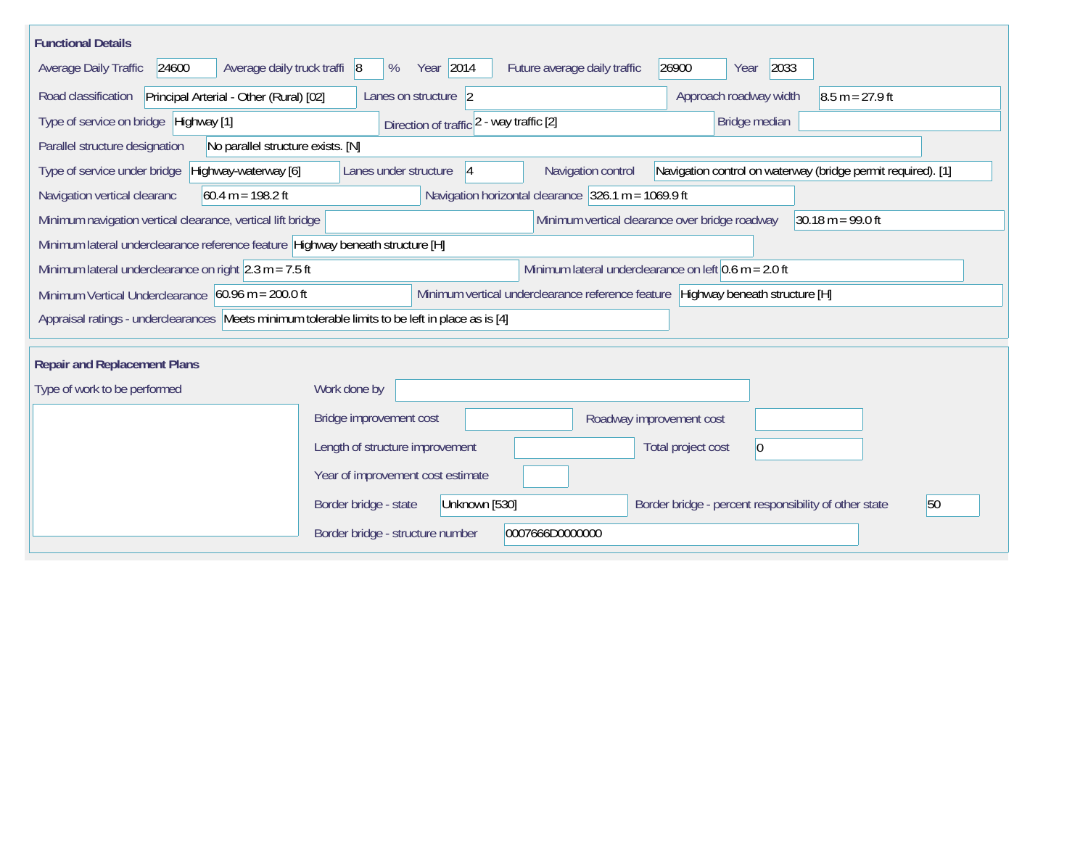| <b>Functional Details</b>                                                                        |                                                                                                                   |
|--------------------------------------------------------------------------------------------------|-------------------------------------------------------------------------------------------------------------------|
| Average daily truck traffi 8<br>Average Daily Traffic<br>24600                                   | Year 2014<br>2033<br>Future average daily traffic<br>26900<br>%<br>Year                                           |
| Road classification<br>Principal Arterial - Other (Rural) [02]                                   | Approach roadway width<br>Lanes on structure 2<br>$8.5 m = 27.9 ft$                                               |
| Type of service on bridge Highway [1]                                                            | Bridge median<br>Direction of traffic 2 - way traffic [2]                                                         |
| Parallel structure designation<br>No parallel structure exists. [N]                              |                                                                                                                   |
| Type of service under bridge<br>Highway-waterway [6]                                             | Navigation control on waterway (bridge permit required). [1]<br>Lanes under structure<br>Navigation control<br> 4 |
| Navigation vertical clearanc<br>$60.4 m = 198.2 ft$                                              | Navigation horizontal clearance $326.1$ m = 1069.9 ft                                                             |
| Minimum navigation vertical clearance, vertical lift bridge                                      | Minimum vertical clearance over bridge roadway<br>$30.18 m = 99.0 ft$                                             |
| Minimum lateral underclearance reference feature Highway beneath structure [H]                   |                                                                                                                   |
| Minimum lateral underclearance on right $ 2.3 \text{ m} = 7.5 \text{ ft} $                       | Minimum lateral underclearance on left $0.6$ m = 2.0 ft                                                           |
| Minimum Vertical Underclearance 60.96 m = 200.0 ft                                               | Minimum vertical underclearance reference feature Highway beneath structure [H]                                   |
| Appraisal ratings - underclearances Meets minimum tolerable limits to be left in place as is [4] |                                                                                                                   |
| <b>Repair and Replacement Plans</b>                                                              |                                                                                                                   |
| Type of work to be performed                                                                     | Work done by                                                                                                      |
|                                                                                                  | Bridge improvement cost<br>Roadway improvement cost                                                               |
|                                                                                                  | Length of structure improvement<br>Total project cost<br> 0                                                       |
|                                                                                                  | Year of improvement cost estimate                                                                                 |
|                                                                                                  | 50<br>Border bridge - state<br>Unknown [530]<br>Border bridge - percent responsibility of other state             |
|                                                                                                  | Border bridge - structure number<br>0007666D0000000                                                               |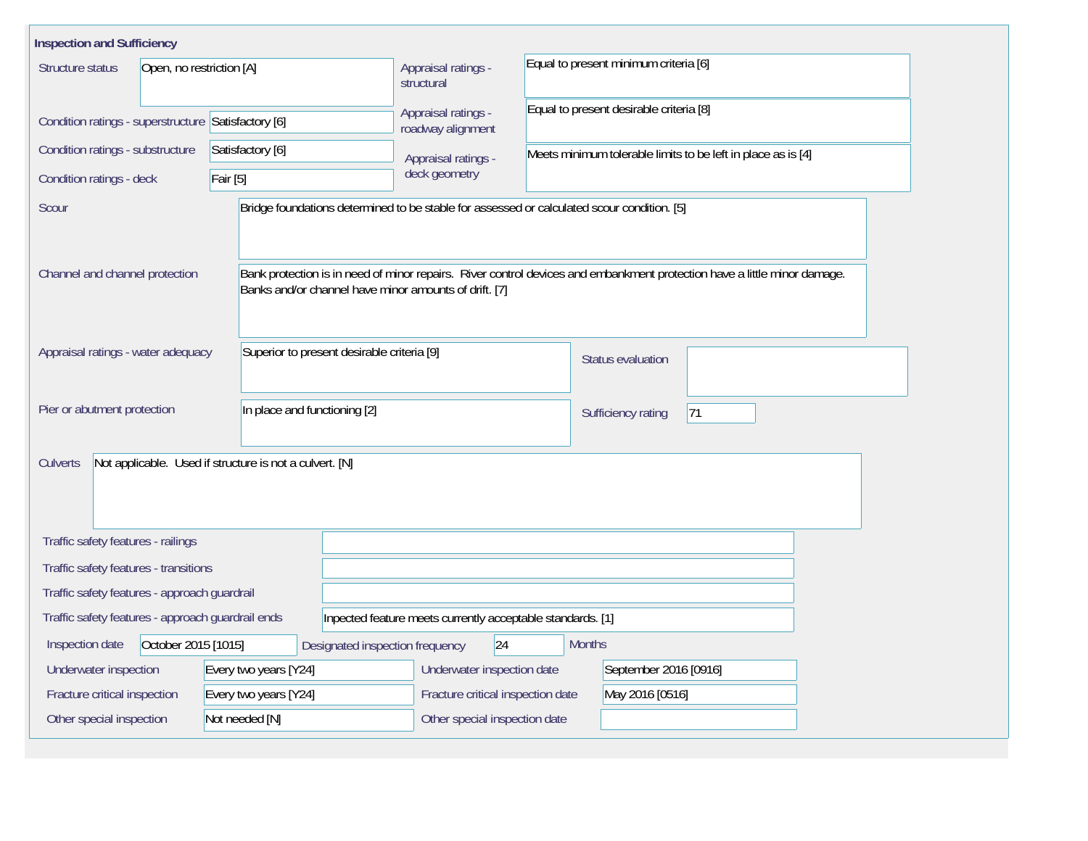| <b>Inspection and Sufficiency</b>                   |                                            |                               |                                                                                            |                                                                                     |                                       |                                                                                                                          |  |  |  |  |
|-----------------------------------------------------|--------------------------------------------|-------------------------------|--------------------------------------------------------------------------------------------|-------------------------------------------------------------------------------------|---------------------------------------|--------------------------------------------------------------------------------------------------------------------------|--|--|--|--|
| Structure status                                    | Open, no restriction [A]                   |                               |                                                                                            | Appraisal ratings -<br>structural                                                   | Equal to present minimum criteria [6] |                                                                                                                          |  |  |  |  |
| Condition ratings - superstructure Satisfactory [6] |                                            |                               |                                                                                            | Equal to present desirable criteria [8]<br>Appraisal ratings -<br>roadway alignment |                                       |                                                                                                                          |  |  |  |  |
| Condition ratings - substructure                    |                                            | Satisfactory [6]              |                                                                                            | Appraisal ratings -                                                                 |                                       | Meets minimum tolerable limits to be left in place as is [4]                                                             |  |  |  |  |
| Condition ratings - deck                            |                                            | $\overline{\mathsf{Fair}[5]}$ |                                                                                            | deck geometry                                                                       |                                       |                                                                                                                          |  |  |  |  |
| Scour                                               |                                            |                               | Bridge foundations determined to be stable for assessed or calculated scour condition. [5] |                                                                                     |                                       |                                                                                                                          |  |  |  |  |
| Channel and channel protection                      |                                            |                               | Banks and/or channel have minor amounts of drift. [7]                                      |                                                                                     |                                       | Bank protection is in need of minor repairs. River control devices and embankment protection have a little minor damage. |  |  |  |  |
| Appraisal ratings - water adequacy                  | Superior to present desirable criteria [9] |                               |                                                                                            |                                                                                     |                                       | Status evaluation                                                                                                        |  |  |  |  |
| Pier or abutment protection                         |                                            |                               | In place and functioning [2]                                                               |                                                                                     |                                       | 71<br>Sufficiency rating                                                                                                 |  |  |  |  |
| Culverts                                            |                                            |                               | Not applicable. Used if structure is not a culvert. [N]                                    |                                                                                     |                                       |                                                                                                                          |  |  |  |  |
| Traffic safety features - railings                  |                                            |                               |                                                                                            |                                                                                     |                                       |                                                                                                                          |  |  |  |  |
| Traffic safety features - transitions               |                                            |                               |                                                                                            |                                                                                     |                                       |                                                                                                                          |  |  |  |  |
| Traffic safety features - approach guardrail        |                                            |                               |                                                                                            |                                                                                     |                                       |                                                                                                                          |  |  |  |  |
| Traffic safety features - approach guardrail ends   |                                            |                               |                                                                                            | Inpected feature meets currently acceptable standards. [1]                          |                                       |                                                                                                                          |  |  |  |  |
| Inspection date                                     | October 2015 [1015]                        |                               | Designated inspection frequency                                                            | 24                                                                                  | <b>Months</b>                         |                                                                                                                          |  |  |  |  |
| Underwater inspection                               |                                            |                               | Every two years [Y24]                                                                      | Underwater inspection date                                                          |                                       | September 2016 [0916]                                                                                                    |  |  |  |  |
| Fracture critical inspection                        |                                            |                               | Every two years [Y24]                                                                      | Fracture critical inspection date                                                   | May 2016 [0516]                       |                                                                                                                          |  |  |  |  |
| Not needed [N]<br>Other special inspection          |                                            |                               |                                                                                            | Other special inspection date                                                       |                                       |                                                                                                                          |  |  |  |  |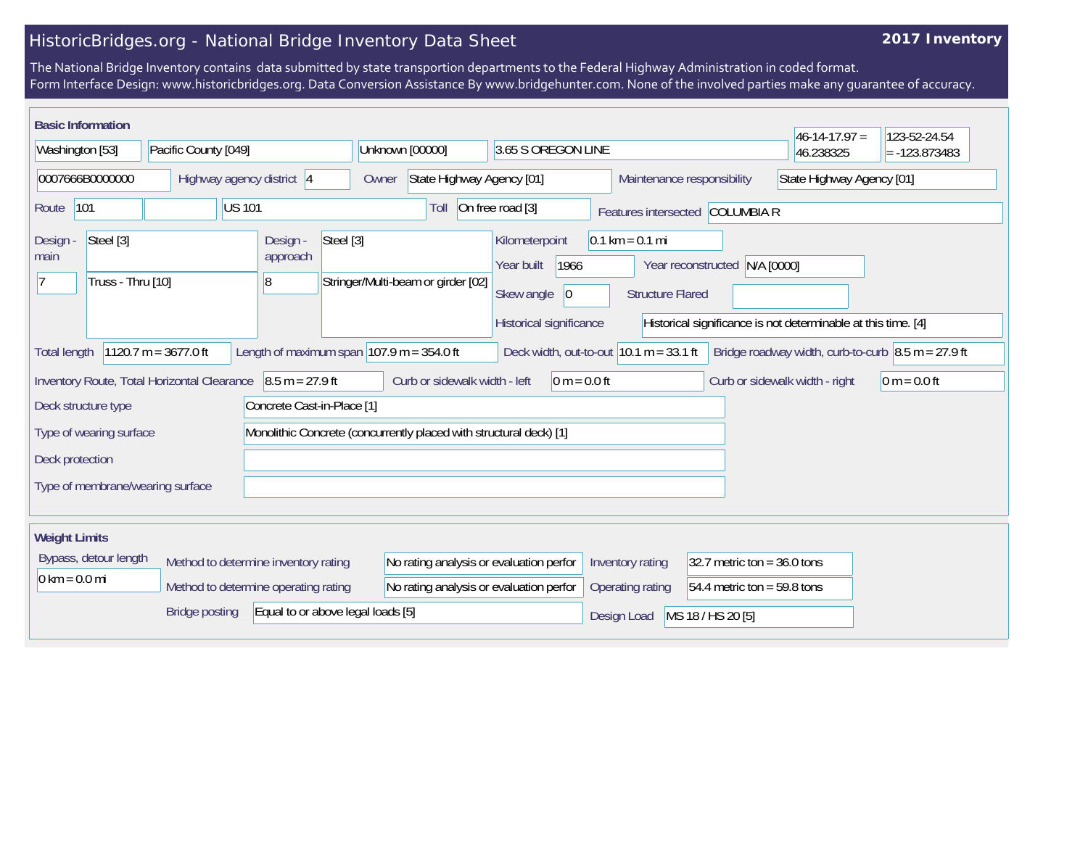## **2017 Inventory**

| <b>Basic Information</b>                           |                                             |                                        |                                                                    |                                              |                                   |                               | $46 - 14 - 17.97 =$                                                        | 123-52-24.54    |
|----------------------------------------------------|---------------------------------------------|----------------------------------------|--------------------------------------------------------------------|----------------------------------------------|-----------------------------------|-------------------------------|----------------------------------------------------------------------------|-----------------|
| Washington [53]                                    | Pacific County [049]                        |                                        | Unknown [00000]                                                    | 3.65 S OREGON LINE                           |                                   |                               | 46.238325                                                                  | $= -123.873483$ |
| 0007666B0000000                                    | Highway agency district 4                   |                                        | State Highway Agency [01]<br>Owner                                 |                                              | Maintenance responsibility        |                               | State Highway Agency [01]                                                  |                 |
| 101<br>Route                                       | <b>US101</b>                                |                                        | Toll                                                               | On free road [3]                             | Features intersected COLUMBIA R   |                               |                                                                            |                 |
| Steel [3]<br>Design -<br>main<br>Truss - Thru [10] |                                             | Steel [3]<br>Design -<br>approach<br>8 | Stringer/Multi-beam or girder [02]                                 | Kilometerpoint<br>1966<br>Year built         | $0.1 \text{ km} = 0.1 \text{ mi}$ | Year reconstructed N/A [0000] |                                                                            |                 |
|                                                    |                                             |                                        |                                                                    | Skew angle<br> 0 <br>Historical significance | <b>Structure Flared</b>           |                               | Historical significance is not determinable at this time. [4]              |                 |
| <b>Total length</b>                                | $1120.7 m = 3677.0 ft$                      |                                        | Length of maximum span $ 107.9 m = 354.0 ft$                       | Deck width, out-to-out $10.1 m = 33.1 ft$    |                                   |                               | Bridge roadway width, curb-to-curb $\vert 8.5 \text{ m} = 27.9 \text{ ft}$ |                 |
|                                                    | Inventory Route, Total Horizontal Clearance | $8.5 m = 27.9 ft$                      | Curb or sidewalk width - left                                      | $0 m = 0.0 ft$                               |                                   |                               | Curb or sidewalk width - right                                             | $0 m = 0.0 ft$  |
| Deck structure type                                |                                             | Concrete Cast-in-Place [1]             |                                                                    |                                              |                                   |                               |                                                                            |                 |
| Type of wearing surface                            |                                             |                                        | Monolithic Concrete (concurrently placed with structural deck) [1] |                                              |                                   |                               |                                                                            |                 |
| Deck protection                                    |                                             |                                        |                                                                    |                                              |                                   |                               |                                                                            |                 |
| Type of membrane/wearing surface                   |                                             |                                        |                                                                    |                                              |                                   |                               |                                                                            |                 |
| <b>Weight Limits</b>                               |                                             |                                        |                                                                    |                                              |                                   |                               |                                                                            |                 |
| Bypass, detour length                              | Method to determine inventory rating        |                                        | No rating analysis or evaluation perfor                            |                                              | Inventory rating                  | 32.7 metric ton = $36.0$ tons |                                                                            |                 |
| $0 \text{ km} = 0.0 \text{ mi}$                    | Method to determine operating rating        |                                        | No rating analysis or evaluation perfor                            |                                              | Operating rating                  | 54.4 metric ton = 59.8 tons   |                                                                            |                 |
|                                                    | <b>Bridge posting</b>                       | Equal to or above legal loads [5]      |                                                                    |                                              | Design Load                       | MS 18 / HS 20 [5]             |                                                                            |                 |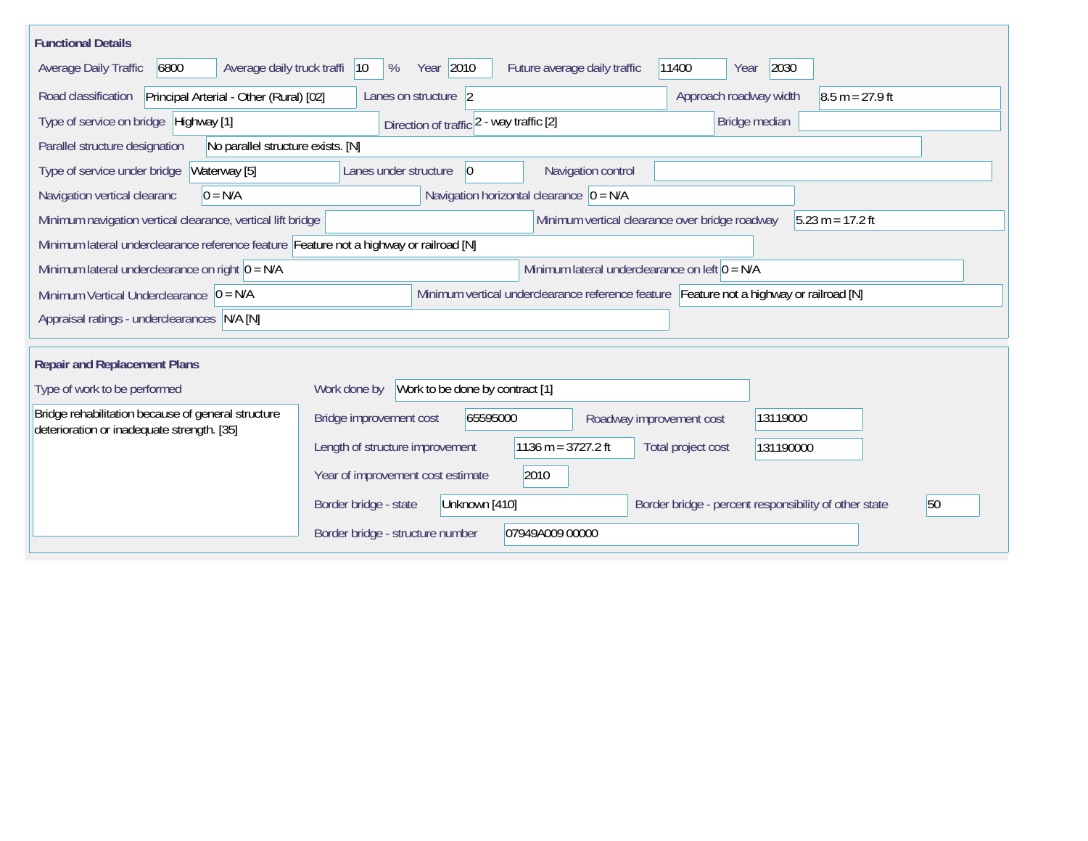| <b>Functional Details</b>                                                                        |                                                                                                       |
|--------------------------------------------------------------------------------------------------|-------------------------------------------------------------------------------------------------------|
| Average daily truck traffi<br>6800<br>Average Daily Traffic                                      | Year 2010<br>2030<br>Future average daily traffic<br>11400<br>$ 10\rangle$<br>%<br>Year               |
| Principal Arterial - Other (Rural) [02]<br>Road classification                                   | Lanes on structure 2<br>Approach roadway width<br>$8.5 m = 27.9 ft$                                   |
| Type of service on bridge Highway [1]                                                            | Bridge median<br>Direction of traffic 2 - way traffic [2]                                             |
| No parallel structure exists. [N]<br>Parallel structure designation                              |                                                                                                       |
| Type of service under bridge<br>Waterway [5]                                                     | Navigation control<br>Lanes under structure<br>10                                                     |
| Navigation vertical clearanc<br>$0 = N/A$                                                        | Navigation horizontal clearance $ 0 = N/A $                                                           |
| Minimum navigation vertical clearance, vertical lift bridge                                      | Minimum vertical clearance over bridge roadway<br>$5.23 m = 17.2 ft$                                  |
| Minimum lateral underclearance reference feature Feature not a highway or railroad [N]           |                                                                                                       |
| Minimum lateral underclearance on right $0 = N/A$                                                | Minimum lateral underclearance on left $0 = N/A$                                                      |
| Minimum Vertical Underclearance $ 0 = N/A$                                                       | Minimum vertical underclearance reference feature Feature not a highway or railroad [N]               |
| Appraisal ratings - underclearances N/A [N]                                                      |                                                                                                       |
| <b>Repair and Replacement Plans</b>                                                              |                                                                                                       |
| Type of work to be performed                                                                     | Work done by Work to be done by contract [1]                                                          |
| Bridge rehabilitation because of general structure<br>deterioration or inadequate strength. [35] | Bridge improvement cost<br>65595000<br>13119000<br>Roadway improvement cost                           |
|                                                                                                  | 1136 m = $3727.2$ ft<br>Length of structure improvement<br>Total project cost<br>131190000            |
|                                                                                                  | 2010<br>Year of improvement cost estimate                                                             |
|                                                                                                  | 50<br>Border bridge - state<br>Border bridge - percent responsibility of other state<br>Unknown [410] |
|                                                                                                  | 07949A009 00000<br>Border bridge - structure number                                                   |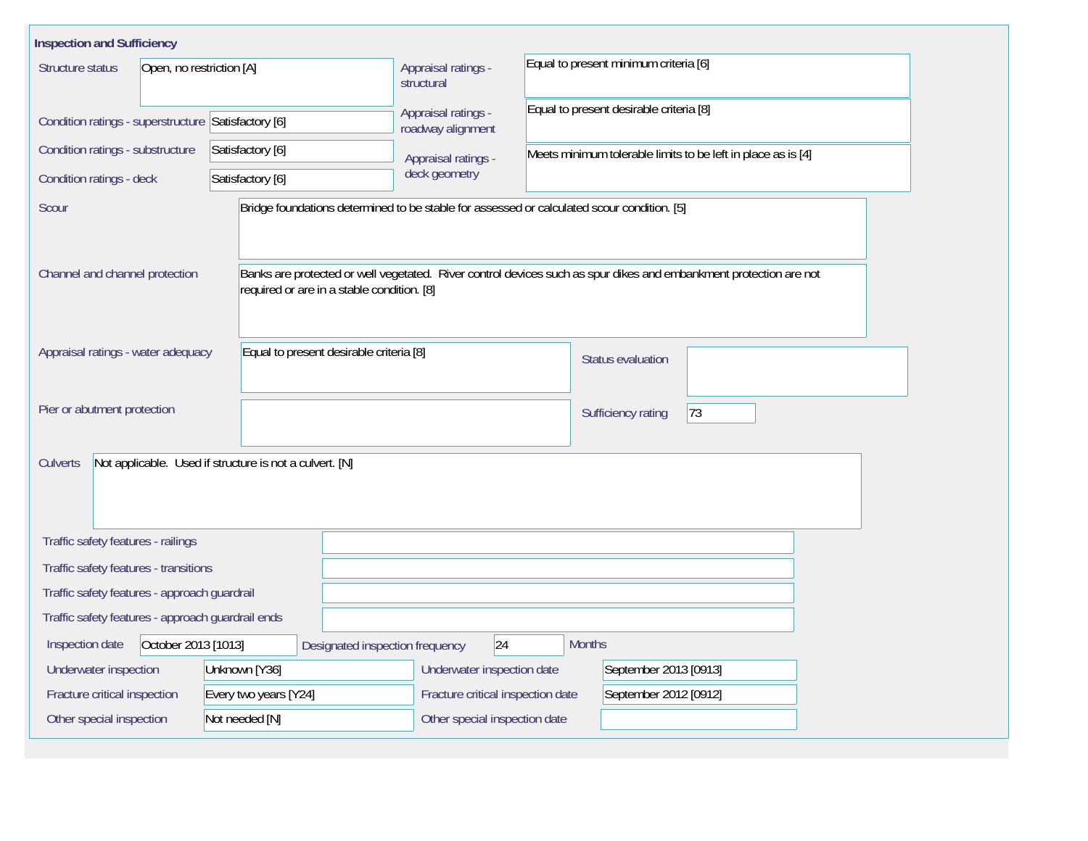| <b>Inspection and Sufficiency</b>                   |                                                                                            |                                          |                                         |                                                                                                                   |  |  |  |  |
|-----------------------------------------------------|--------------------------------------------------------------------------------------------|------------------------------------------|-----------------------------------------|-------------------------------------------------------------------------------------------------------------------|--|--|--|--|
| Structure status<br>Open, no restriction [A]        |                                                                                            | Appraisal ratings -<br>structural        | Equal to present minimum criteria [6]   |                                                                                                                   |  |  |  |  |
| Condition ratings - superstructure Satisfactory [6] |                                                                                            | Appraisal ratings -<br>roadway alignment | Equal to present desirable criteria [8] |                                                                                                                   |  |  |  |  |
| Condition ratings - substructure                    | Satisfactory [6]                                                                           | Appraisal ratings -                      |                                         | Meets minimum tolerable limits to be left in place as is [4]                                                      |  |  |  |  |
| Condition ratings - deck                            | Satisfactory [6]                                                                           | deck geometry                            |                                         |                                                                                                                   |  |  |  |  |
| Scour                                               | Bridge foundations determined to be stable for assessed or calculated scour condition. [5] |                                          |                                         |                                                                                                                   |  |  |  |  |
| Channel and channel protection                      | required or are in a stable condition. [8]                                                 |                                          |                                         | Banks are protected or well vegetated. River control devices such as spur dikes and embankment protection are not |  |  |  |  |
| Appraisal ratings - water adequacy                  | Equal to present desirable criteria [8]                                                    |                                          | Status evaluation                       |                                                                                                                   |  |  |  |  |
| Pier or abutment protection                         |                                                                                            |                                          |                                         | 73<br>Sufficiency rating                                                                                          |  |  |  |  |
| Culverts                                            | Not applicable. Used if structure is not a culvert. [N]                                    |                                          |                                         |                                                                                                                   |  |  |  |  |
| Traffic safety features - railings                  |                                                                                            |                                          |                                         |                                                                                                                   |  |  |  |  |
| Traffic safety features - transitions               |                                                                                            |                                          |                                         |                                                                                                                   |  |  |  |  |
| Traffic safety features - approach guardrail        |                                                                                            |                                          |                                         |                                                                                                                   |  |  |  |  |
| Traffic safety features - approach guardrail ends   |                                                                                            |                                          |                                         |                                                                                                                   |  |  |  |  |
| October 2013 [1013]<br>Inspection date              | Designated inspection frequency                                                            | 24                                       | <b>Months</b>                           |                                                                                                                   |  |  |  |  |
| Underwater inspection                               | Unknown [Y36]                                                                              | Underwater inspection date               |                                         | September 2013 [0913]                                                                                             |  |  |  |  |
| Fracture critical inspection                        | Every two years [Y24]                                                                      | Fracture critical inspection date        |                                         | September 2012 [0912]                                                                                             |  |  |  |  |
| Other special inspection                            | Not needed [N]                                                                             | Other special inspection date            |                                         |                                                                                                                   |  |  |  |  |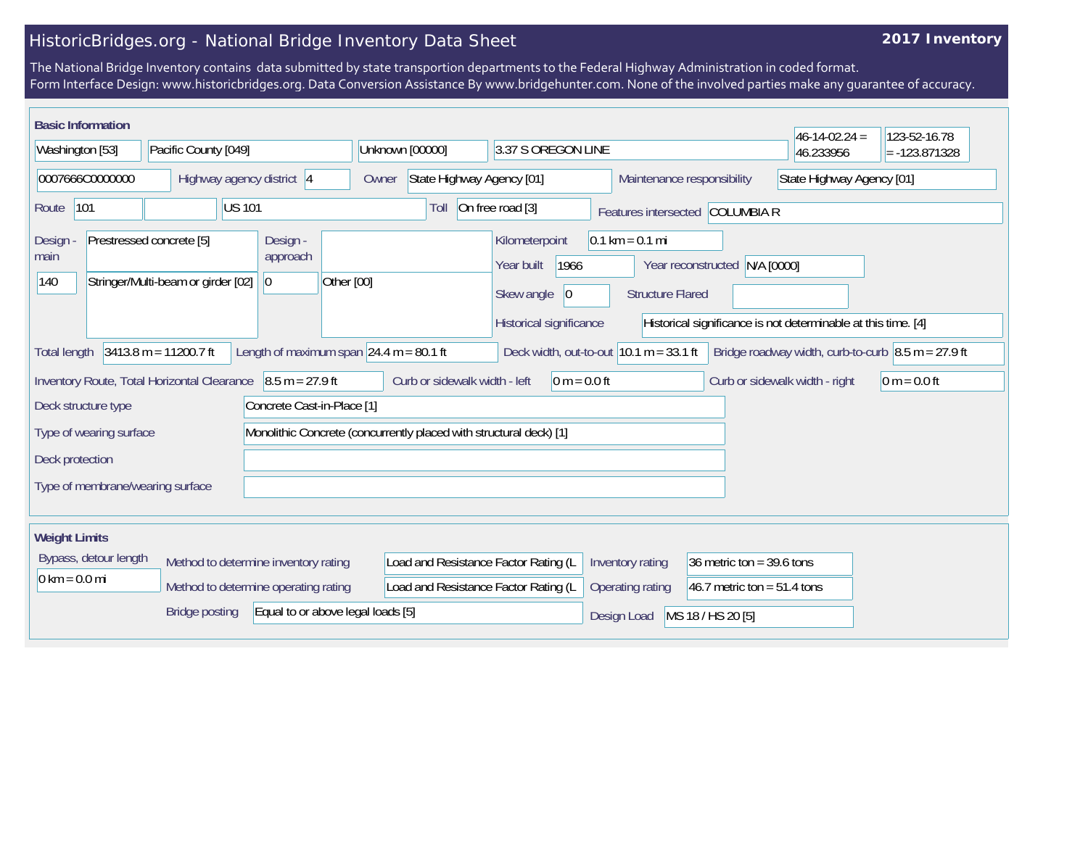## **2017 Inventory**

| <b>Basic Information</b>                                                                |                         |                                             |                                           |                                                                    |                                                                                                                                                                    |                            |                                 | $46-14-02.24 =$                                                            | 123-52-16.78    |
|-----------------------------------------------------------------------------------------|-------------------------|---------------------------------------------|-------------------------------------------|--------------------------------------------------------------------|--------------------------------------------------------------------------------------------------------------------------------------------------------------------|----------------------------|---------------------------------|----------------------------------------------------------------------------|-----------------|
| Washington [53]                                                                         |                         | Pacific County [049]                        |                                           | Unknown [00000]                                                    | 3.37 S OREGON LINE                                                                                                                                                 |                            |                                 | 46.233956                                                                  | $= -123.871328$ |
| 0007666C0000000                                                                         |                         | Highway agency district 4                   |                                           | State Highway Agency [01]<br>Owner                                 |                                                                                                                                                                    | Maintenance responsibility |                                 | State Highway Agency [01]                                                  |                 |
| 101<br>Route                                                                            |                         | <b>US 101</b>                               |                                           | Toll                                                               | On free road [3]                                                                                                                                                   |                            | Features intersected COLUMBIA R |                                                                            |                 |
| Prestressed concrete [5]<br>Design<br>main<br>Stringer/Multi-beam or girder [02]<br>140 |                         | Design -<br>approach<br>$ 0\rangle$         | Other [00]                                |                                                                    | Kilometerpoint<br>$0.1 \text{ km} = 0.1 \text{ mi}$<br>1966<br>Year built<br>Year reconstructed N/A [0000]<br>Skew angle<br>$ 0\rangle$<br><b>Structure Flared</b> |                            |                                 |                                                                            |                 |
|                                                                                         |                         |                                             |                                           |                                                                    | Historical significance                                                                                                                                            |                            |                                 | Historical significance is not determinable at this time. [4]              |                 |
| <b>Total length</b>                                                                     |                         | $3413.8 m = 11200.7 ft$                     | Length of maximum span $24.4$ m = 80.1 ft |                                                                    | Deck width, out-to-out $10.1 m = 33.1 ft$                                                                                                                          |                            |                                 | Bridge roadway width, curb-to-curb $\vert 8.5 \text{ m} = 27.9 \text{ ft}$ |                 |
|                                                                                         |                         | Inventory Route, Total Horizontal Clearance | $8.5 m = 27.9 ft$                         | Curb or sidewalk width - left                                      | $0 m = 0.0 ft$                                                                                                                                                     |                            |                                 | Curb or sidewalk width - right                                             | 0 m = $0.0$ ft  |
| Deck structure type                                                                     |                         |                                             | Concrete Cast-in-Place [1]                |                                                                    |                                                                                                                                                                    |                            |                                 |                                                                            |                 |
|                                                                                         | Type of wearing surface |                                             |                                           | Monolithic Concrete (concurrently placed with structural deck) [1] |                                                                                                                                                                    |                            |                                 |                                                                            |                 |
| Deck protection                                                                         |                         |                                             |                                           |                                                                    |                                                                                                                                                                    |                            |                                 |                                                                            |                 |
| Type of membrane/wearing surface                                                        |                         |                                             |                                           |                                                                    |                                                                                                                                                                    |                            |                                 |                                                                            |                 |
| <b>Weight Limits</b>                                                                    |                         |                                             |                                           |                                                                    |                                                                                                                                                                    |                            |                                 |                                                                            |                 |
|                                                                                         | Bypass, detour length   |                                             | Method to determine inventory rating      | Load and Resistance Factor Rating (L                               |                                                                                                                                                                    | Inventory rating           | 36 metric ton = $39.6$ tons     |                                                                            |                 |
| $0 \text{ km} = 0.0 \text{ mi}$                                                         |                         |                                             | Method to determine operating rating      | Load and Resistance Factor Rating (L                               |                                                                                                                                                                    | Operating rating           | 46.7 metric ton = $51.4$ tons   |                                                                            |                 |
|                                                                                         |                         | <b>Bridge posting</b>                       | Equal to or above legal loads [5]         |                                                                    |                                                                                                                                                                    | Design Load                | MS 18 / HS 20 [5]               |                                                                            |                 |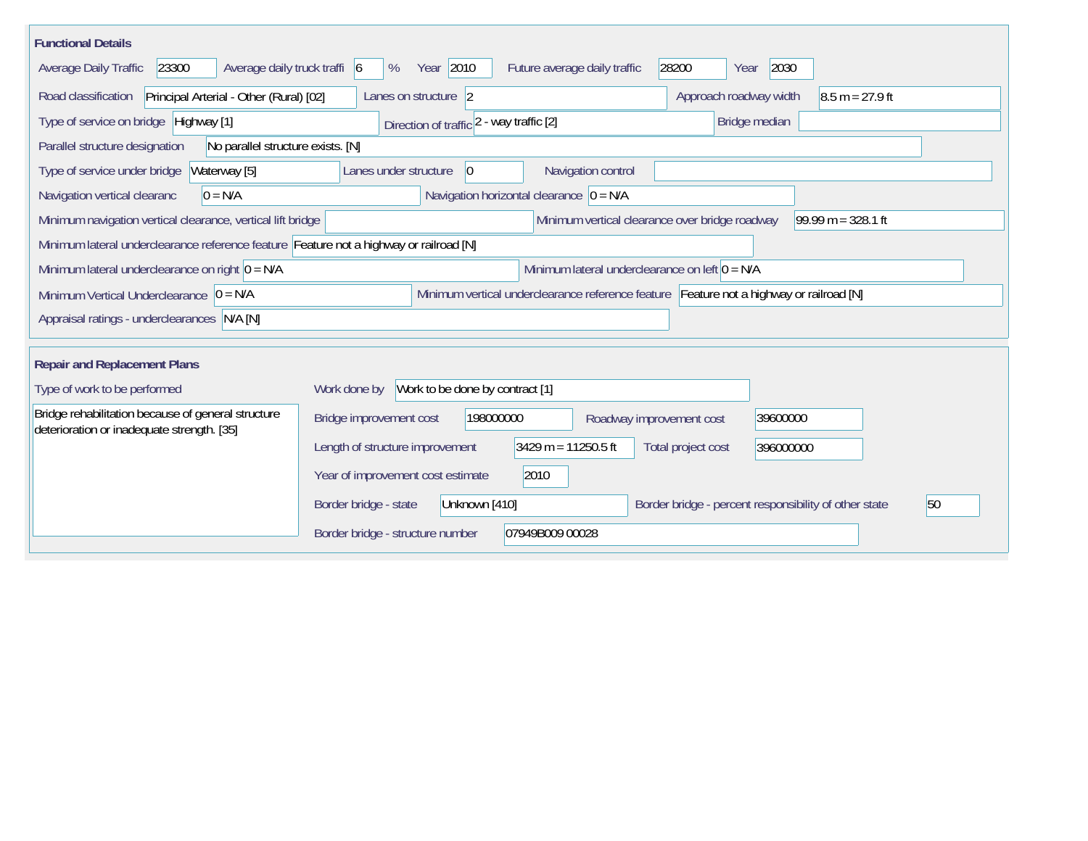| <b>Functional Details</b>                                                              |                                                 |                                                  |                                                                                         |                      |
|----------------------------------------------------------------------------------------|-------------------------------------------------|--------------------------------------------------|-----------------------------------------------------------------------------------------|----------------------|
| 23300<br>Average daily truck traffi 6<br>Average Daily Traffic                         | Year 2010<br>%                                  | Future average daily traffic                     | 2030<br>28200<br>Year                                                                   |                      |
| Principal Arterial - Other (Rural) [02]<br>Road classification                         | Lanes on structure 2                            |                                                  | Approach roadway width                                                                  | $8.5 m = 27.9 ft$    |
| Type of service on bridge Highway [1]                                                  | Direction of traffic 2 - way traffic [2]        |                                                  | Bridge median                                                                           |                      |
| Parallel structure designation<br>No parallel structure exists. [N]                    |                                                 |                                                  |                                                                                         |                      |
| Type of service under bridge<br>Waterway [5]                                           | Lanes under structure<br> 0                     | Navigation control                               |                                                                                         |                      |
| $0 = N/A$<br>Navigation vertical clearanc                                              | Navigation horizontal clearance $ 0 = N/A $     |                                                  |                                                                                         |                      |
| Minimum navigation vertical clearance, vertical lift bridge                            |                                                 | Minimum vertical clearance over bridge roadway   |                                                                                         | $99.99 m = 328.1 ft$ |
| Minimum lateral underclearance reference feature Feature not a highway or railroad [N] |                                                 |                                                  |                                                                                         |                      |
| Minimum lateral underclearance on right $0 = N/A$                                      |                                                 | Minimum lateral underclearance on left $0 = N/A$ |                                                                                         |                      |
| Minimum Vertical Underclearance $ 0 = N/A $                                            |                                                 |                                                  | Minimum vertical underclearance reference feature Feature not a highway or railroad [N] |                      |
| Appraisal ratings - underclearances N/A [N]                                            |                                                 |                                                  |                                                                                         |                      |
| <b>Repair and Replacement Plans</b>                                                    |                                                 |                                                  |                                                                                         |                      |
| Type of work to be performed                                                           | Work to be done by contract [1]<br>Work done by |                                                  |                                                                                         |                      |
| Bridge rehabilitation because of general structure                                     |                                                 |                                                  |                                                                                         |                      |
| deterioration or inadequate strength. [35]                                             | Bridge improvement cost<br>198000000            | Roadway improvement cost                         | 39600000                                                                                |                      |
|                                                                                        | Length of structure improvement                 | $3429 m = 11250.5 ft$                            | Total project cost<br>396000000                                                         |                      |
|                                                                                        | Year of improvement cost estimate               | 2010                                             |                                                                                         |                      |
|                                                                                        | Border bridge - state<br>Unknown [410]          |                                                  | Border bridge - percent responsibility of other state                                   | 50                   |
|                                                                                        | Border bridge - structure number                | 07949B009 00028                                  |                                                                                         |                      |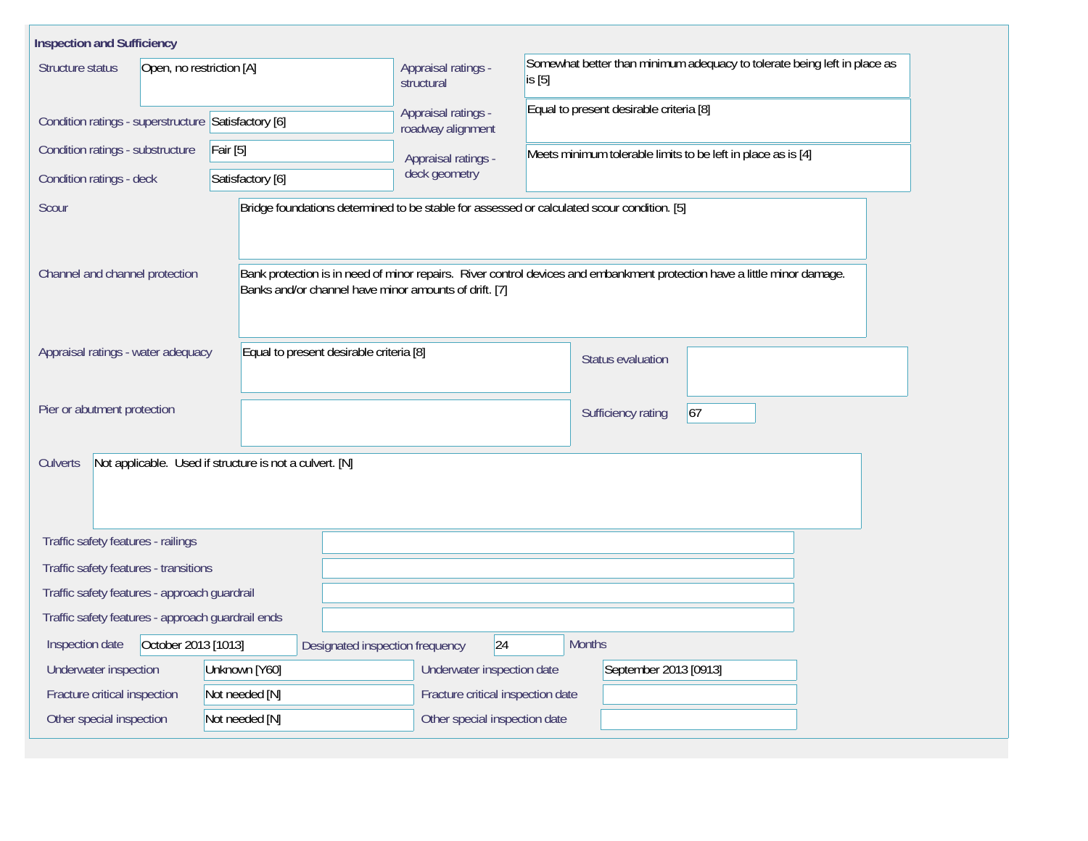| <b>Inspection and Sufficiency</b>                   |                                                         |                                          |                                                                                                                          |  |  |  |  |  |
|-----------------------------------------------------|---------------------------------------------------------|------------------------------------------|--------------------------------------------------------------------------------------------------------------------------|--|--|--|--|--|
| Structure status<br>Open, no restriction [A]        |                                                         | Appraisal ratings -<br>structural        | Somewhat better than minimum adequacy to tolerate being left in place as<br>is [5]                                       |  |  |  |  |  |
| Condition ratings - superstructure Satisfactory [6] |                                                         | Appraisal ratings -<br>roadway alignment | Equal to present desirable criteria [8]                                                                                  |  |  |  |  |  |
| Condition ratings - substructure                    | Fair [5]                                                | Appraisal ratings -                      | Meets minimum tolerable limits to be left in place as is [4]                                                             |  |  |  |  |  |
| Condition ratings - deck                            | Satisfactory [6]                                        | deck geometry                            |                                                                                                                          |  |  |  |  |  |
| Scour                                               |                                                         |                                          | Bridge foundations determined to be stable for assessed or calculated scour condition. [5]                               |  |  |  |  |  |
| Channel and channel protection                      | Banks and/or channel have minor amounts of drift. [7]   |                                          | Bank protection is in need of minor repairs. River control devices and embankment protection have a little minor damage. |  |  |  |  |  |
| Appraisal ratings - water adequacy                  | Equal to present desirable criteria [8]                 |                                          | <b>Status evaluation</b>                                                                                                 |  |  |  |  |  |
| Pier or abutment protection                         |                                                         |                                          | 67<br>Sufficiency rating                                                                                                 |  |  |  |  |  |
| <b>Culverts</b>                                     | Not applicable. Used if structure is not a culvert. [N] |                                          |                                                                                                                          |  |  |  |  |  |
| Traffic safety features - railings                  |                                                         |                                          |                                                                                                                          |  |  |  |  |  |
| Traffic safety features - transitions               |                                                         |                                          |                                                                                                                          |  |  |  |  |  |
| Traffic safety features - approach guardrail        |                                                         |                                          |                                                                                                                          |  |  |  |  |  |
| Traffic safety features - approach guardrail ends   |                                                         |                                          |                                                                                                                          |  |  |  |  |  |
| October 2013 [1013]<br>Inspection date              | Designated inspection frequency                         | 24                                       | <b>Months</b>                                                                                                            |  |  |  |  |  |
| Underwater inspection                               | Unknown [Y60]                                           | Underwater inspection date               | September 2013 [0913]                                                                                                    |  |  |  |  |  |
| Fracture critical inspection                        | Not needed [N]                                          | Fracture critical inspection date        |                                                                                                                          |  |  |  |  |  |
| Other special inspection                            | Not needed [N]                                          | Other special inspection date            |                                                                                                                          |  |  |  |  |  |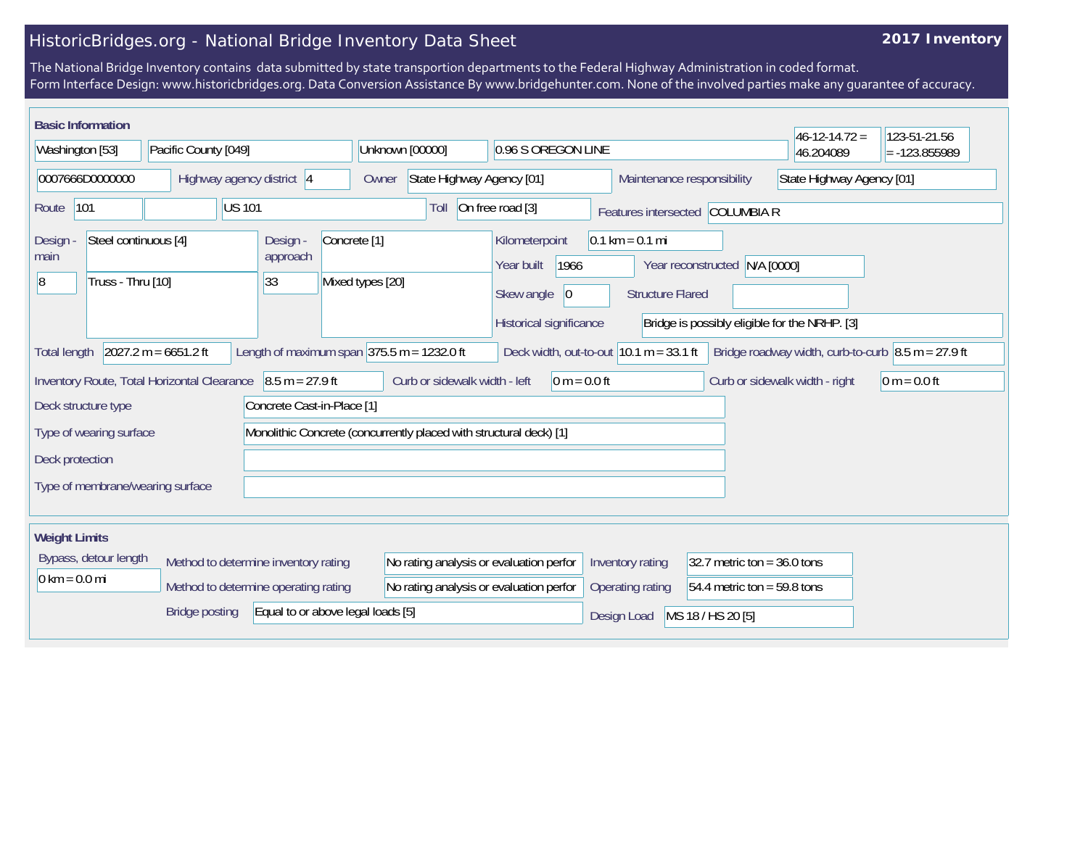## **2017 Inventory**

| <b>Basic Information</b>                                                |                     |                                                                    |                                             |                                                                   |                                                              |                               |  | $46 - 12 - 14.72 =$                                  | 123-51-21.56    |
|-------------------------------------------------------------------------|---------------------|--------------------------------------------------------------------|---------------------------------------------|-------------------------------------------------------------------|--------------------------------------------------------------|-------------------------------|--|------------------------------------------------------|-----------------|
| Washington [53]                                                         |                     | Pacific County [049]                                               |                                             | Unknown [00000]                                                   | 0.96 S OREGON LINE                                           |                               |  | 46.204089                                            | $= -123.855989$ |
| 0007666D0000000                                                         |                     |                                                                    | Highway agency district 4                   | State Highway Agency [01]<br>Owner                                |                                                              | Maintenance responsibility    |  | State Highway Agency [01]                            |                 |
| 101<br>Route                                                            |                     | US 101                                                             | Toll                                        | On free road [3]                                                  | Features intersected COLUMBIA R                              |                               |  |                                                      |                 |
| Steel continuous [4]<br>Design<br>main<br>Truss - Thru [10]<br> 8       |                     | Design -<br>approach<br>33                                         | Concrete <sup>[1]</sup><br>Mixed types [20] | Kilometerpoint<br>1966<br>Year built<br>Skew angle<br>$ 0\rangle$ | $0.1 \text{ km} = 0.1 \text{ mi}$<br><b>Structure Flared</b> | Year reconstructed N/A [0000] |  |                                                      |                 |
|                                                                         |                     |                                                                    |                                             |                                                                   | Historical significance                                      |                               |  | Bridge is possibly eligible for the NRHP. [3]        |                 |
| <b>Total length</b>                                                     |                     | $2027.2 m = 6651.2 ft$                                             |                                             | Length of maximum span $375.5$ m = 1232.0 ft                      | Deck width, out-to-out $10.1 m = 33.1 ft$                    |                               |  | Bridge roadway width, curb-to-curb $8.5$ m = 27.9 ft |                 |
|                                                                         |                     | Inventory Route, Total Horizontal Clearance                        | $8.5 m = 27.9 ft$                           | Curb or sidewalk width - left                                     | $0 m = 0.0 ft$                                               |                               |  | Curb or sidewalk width - right                       | 0 m = $0.0$ ft  |
|                                                                         | Deck structure type |                                                                    | Concrete Cast-in-Place [1]                  |                                                                   |                                                              |                               |  |                                                      |                 |
| Type of wearing surface                                                 |                     | Monolithic Concrete (concurrently placed with structural deck) [1] |                                             |                                                                   |                                                              |                               |  |                                                      |                 |
| Deck protection                                                         |                     |                                                                    |                                             |                                                                   |                                                              |                               |  |                                                      |                 |
| Type of membrane/wearing surface                                        |                     |                                                                    |                                             |                                                                   |                                                              |                               |  |                                                      |                 |
| <b>Weight Limits</b>                                                    |                     |                                                                    |                                             |                                                                   |                                                              |                               |  |                                                      |                 |
| Bypass, detour length<br>Method to determine inventory rating           |                     | No rating analysis or evaluation perfor                            |                                             | Inventory rating                                                  | 32.7 metric ton = $36.0$ tons                                |                               |  |                                                      |                 |
| $0 \text{ km} = 0.0 \text{ mi}$<br>Method to determine operating rating |                     | No rating analysis or evaluation perfor                            |                                             | Operating rating                                                  | 54.4 metric ton = 59.8 tons                                  |                               |  |                                                      |                 |
| Equal to or above legal loads [5]<br>Bridge posting                     |                     |                                                                    |                                             |                                                                   | Design Load                                                  | MS 18 / HS 20 [5]             |  |                                                      |                 |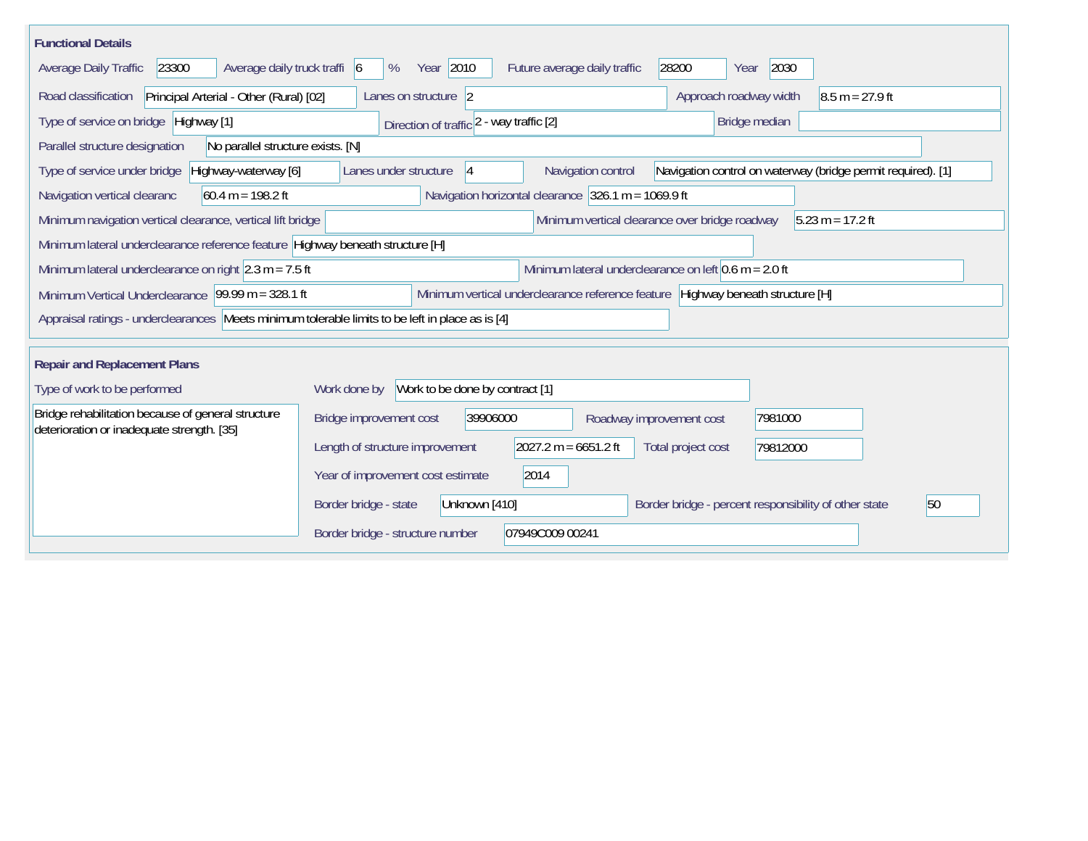| <b>Functional Details</b>                                                                        |                                                                                                                   |
|--------------------------------------------------------------------------------------------------|-------------------------------------------------------------------------------------------------------------------|
| Average daily truck traffi 6<br>23300<br>Average Daily Traffic                                   | Year 2010<br>Future average daily traffic<br>28200<br>2030<br>%<br>Year                                           |
| Principal Arterial - Other (Rural) [02]<br>Road classification                                   | Lanes on structure 2<br>Approach roadway width<br>$ 8.5 \text{ m} = 27.9 \text{ ft} $                             |
| Type of service on bridge Highway [1]                                                            | Bridge median<br>Direction of traffic 2 - way traffic [2]                                                         |
| Parallel structure designation<br>No parallel structure exists. [N]                              |                                                                                                                   |
| Highway-waterway [6]<br>Type of service under bridge                                             | Navigation control<br>Navigation control on waterway (bridge permit required). [1]<br>Lanes under structure<br> 4 |
| $60.4 m = 198.2 ft$<br>Navigation vertical clearanc                                              | Navigation horizontal clearance 326.1 m = 1069.9 ft                                                               |
| Minimum navigation vertical clearance, vertical lift bridge                                      | Minimum vertical clearance over bridge roadway<br>$5.23 m = 17.2 ft$                                              |
| Minimum lateral underclearance reference feature Highway beneath structure [H]                   |                                                                                                                   |
| Minimum lateral underclearance on right $ 2.3 \text{ m} = 7.5 \text{ ft} $                       | Minimum lateral underclearance on left $0.6$ m = 2.0 ft                                                           |
| Minimum Vertical Underclearance 99.99 m = 328.1 ft                                               | Minimum vertical underclearance reference feature Highway beneath structure [H]                                   |
| Appraisal ratings - underclearances Meets minimum tolerable limits to be left in place as is [4] |                                                                                                                   |
|                                                                                                  |                                                                                                                   |
| <b>Repair and Replacement Plans</b>                                                              |                                                                                                                   |
| Type of work to be performed                                                                     | Work to be done by contract [1]<br>Work done by                                                                   |
| Bridge rehabilitation because of general structure<br>deterioration or inadequate strength. [35] | 39906000<br>Bridge improvement cost<br>7981000<br>Roadway improvement cost                                        |
|                                                                                                  | $2027.2 m = 6651.2 ft$<br>Length of structure improvement<br>Total project cost<br>79812000                       |
|                                                                                                  | 2014<br>Year of improvement cost estimate                                                                         |
|                                                                                                  | 50<br>Border bridge - state<br>Unknown [410]<br>Border bridge - percent responsibility of other state             |
|                                                                                                  | 07949C009 00241<br>Border bridge - structure number                                                               |
|                                                                                                  |                                                                                                                   |